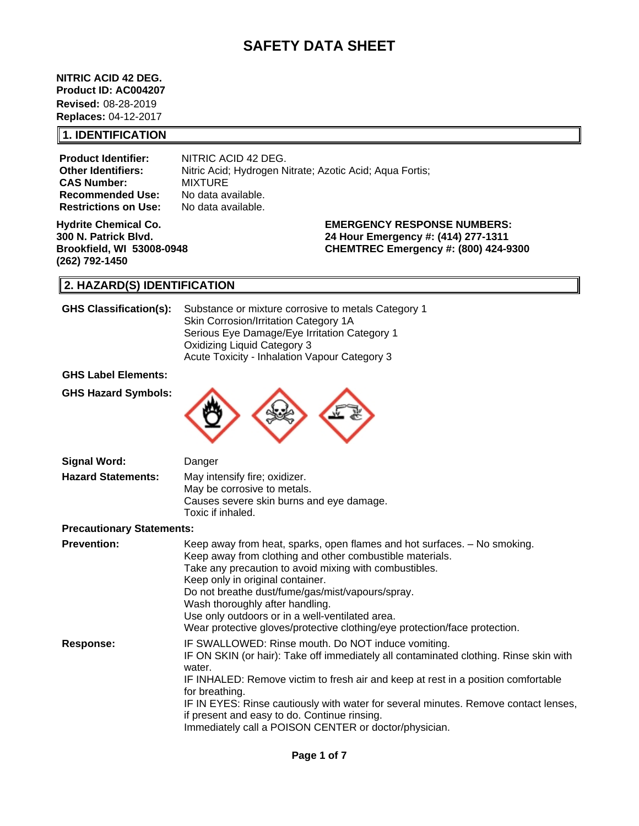# **SAFETY DATA SHEET**

**NITRIC ACID 42 DEG. Product ID: AC004207 Revised:** 08-28-2019 **Replaces:** 04-12-2017

#### **1. IDENTIFICATION**

**Product Identifier:** NITRIC ACID 42 DEG. **CAS Number:** MIXTURE<br>**Recommended Use:** No data available. **Recommended Use: Restrictions on Use:** No data available.

**Other Identifiers:** Nitric Acid; Hydrogen Nitrate; Azotic Acid; Aqua Fortis;

**Hydrite Chemical Co. 300 N. Patrick Blvd. Brookfield, WI 53008-0948 (262) 792-1450**

**EMERGENCY RESPONSE NUMBERS: 24 Hour Emergency #: (414) 277-1311**

**CHEMTREC Emergency #: (800) 424-9300**

## **2. HAZARD(S) IDENTIFICATION**

| <b>GHS Classification(s):</b>    | Substance or mixture corrosive to metals Category 1<br>Skin Corrosion/Irritation Category 1A<br>Serious Eye Damage/Eye Irritation Category 1<br><b>Oxidizing Liquid Category 3</b><br>Acute Toxicity - Inhalation Vapour Category 3                                                                                                                                                                                                                          |
|----------------------------------|--------------------------------------------------------------------------------------------------------------------------------------------------------------------------------------------------------------------------------------------------------------------------------------------------------------------------------------------------------------------------------------------------------------------------------------------------------------|
| <b>GHS Label Elements:</b>       |                                                                                                                                                                                                                                                                                                                                                                                                                                                              |
| <b>GHS Hazard Symbols:</b>       |                                                                                                                                                                                                                                                                                                                                                                                                                                                              |
| <b>Signal Word:</b>              | Danger                                                                                                                                                                                                                                                                                                                                                                                                                                                       |
| <b>Hazard Statements:</b>        | May intensify fire; oxidizer.<br>May be corrosive to metals.<br>Causes severe skin burns and eye damage.<br>Toxic if inhaled.                                                                                                                                                                                                                                                                                                                                |
| <b>Precautionary Statements:</b> |                                                                                                                                                                                                                                                                                                                                                                                                                                                              |
| <b>Prevention:</b>               | Keep away from heat, sparks, open flames and hot surfaces. - No smoking.<br>Keep away from clothing and other combustible materials.<br>Take any precaution to avoid mixing with combustibles.<br>Keep only in original container.<br>Do not breathe dust/fume/gas/mist/vapours/spray.<br>Wash thoroughly after handling.<br>Use only outdoors or in a well-ventilated area.<br>Wear protective gloves/protective clothing/eye protection/face protection.   |
| <b>Response:</b>                 | IF SWALLOWED: Rinse mouth. Do NOT induce vomiting.<br>IF ON SKIN (or hair): Take off immediately all contaminated clothing. Rinse skin with<br>water.<br>IF INHALED: Remove victim to fresh air and keep at rest in a position comfortable<br>for breathing.<br>IF IN EYES: Rinse cautiously with water for several minutes. Remove contact lenses,<br>if present and easy to do. Continue rinsing.<br>Immediately call a POISON CENTER or doctor/physician. |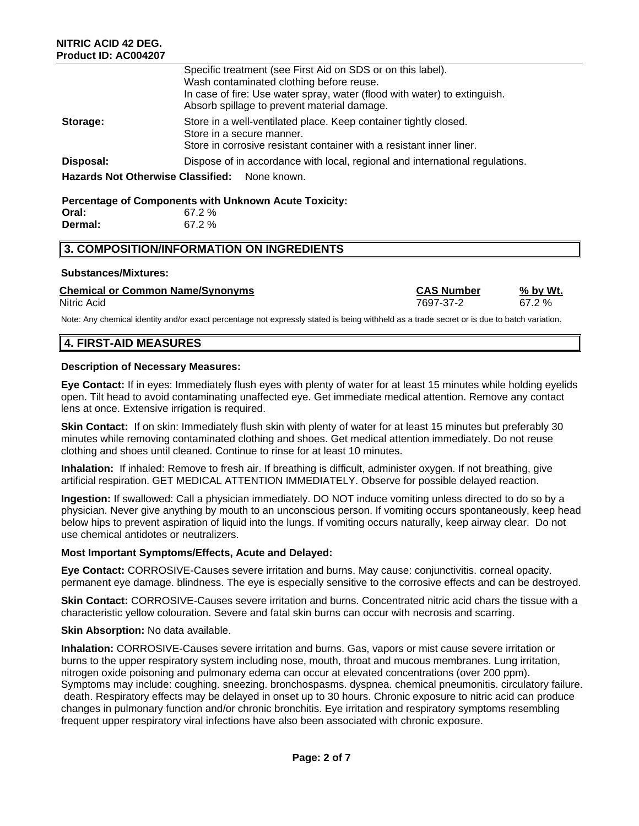|                                               | Specific treatment (see First Aid on SDS or on this label).<br>Wash contaminated clothing before reuse.<br>In case of fire: Use water spray, water (flood with water) to extinguish.<br>Absorb spillage to prevent material damage. |  |  |  |  |
|-----------------------------------------------|-------------------------------------------------------------------------------------------------------------------------------------------------------------------------------------------------------------------------------------|--|--|--|--|
| Storage:                                      | Store in a well-ventilated place. Keep container tightly closed.<br>Store in a secure manner.<br>Store in corrosive resistant container with a resistant inner liner.                                                               |  |  |  |  |
| Disposal:                                     | Dispose of in accordance with local, regional and international regulations.                                                                                                                                                        |  |  |  |  |
| Hazards Not Otherwise Classified: None known. |                                                                                                                                                                                                                                     |  |  |  |  |

## **Percentage of Components with Unknown Acute Toxicity: Oral:** 67.2 %

| Dermal: | 67.2 % |
|---------|--------|
|         |        |

## **3. COMPOSITION/INFORMATION ON INGREDIENTS**

### **Substances/Mixtures:**

#### **Chemical or Common Name/Synonyms CAS Number % by Wt.** Nitric Acid 7697-37-2 67.2 %

Note: Any chemical identity and/or exact percentage not expressly stated is being withheld as a trade secret or is due to batch variation.

## **4. FIRST-AID MEASURES**

### **Description of Necessary Measures:**

**Eye Contact:** If in eyes: Immediately flush eyes with plenty of water for at least 15 minutes while holding eyelids open. Tilt head to avoid contaminating unaffected eye. Get immediate medical attention. Remove any contact lens at once. Extensive irrigation is required.

**Skin Contact:** If on skin: Immediately flush skin with plenty of water for at least 15 minutes but preferably 30 minutes while removing contaminated clothing and shoes. Get medical attention immediately. Do not reuse clothing and shoes until cleaned. Continue to rinse for at least 10 minutes.

**Inhalation:** If inhaled: Remove to fresh air. If breathing is difficult, administer oxygen. If not breathing, give artificial respiration. GET MEDICAL ATTENTION IMMEDIATELY. Observe for possible delayed reaction.

**Ingestion:** If swallowed: Call a physician immediately. DO NOT induce vomiting unless directed to do so by a physician. Never give anything by mouth to an unconscious person. If vomiting occurs spontaneously, keep head below hips to prevent aspiration of liquid into the lungs. If vomiting occurs naturally, keep airway clear. Do not use chemical antidotes or neutralizers.

### **Most Important Symptoms/Effects, Acute and Delayed:**

**Eye Contact:** CORROSIVE-Causes severe irritation and burns. May cause: conjunctivitis. corneal opacity. permanent eye damage. blindness. The eye is especially sensitive to the corrosive effects and can be destroyed.

**Skin Contact:** CORROSIVE-Causes severe irritation and burns. Concentrated nitric acid chars the tissue with a characteristic yellow colouration. Severe and fatal skin burns can occur with necrosis and scarring.

### **Skin Absorption: No data available.**

**Inhalation:** CORROSIVE-Causes severe irritation and burns. Gas, vapors or mist cause severe irritation or burns to the upper respiratory system including nose, mouth, throat and mucous membranes. Lung irritation, nitrogen oxide poisoning and pulmonary edema can occur at elevated concentrations (over 200 ppm). Symptoms may include: coughing. sneezing. bronchospasms. dyspnea. chemical pneumonitis. circulatory failure. death. Respiratory effects may be delayed in onset up to 30 hours. Chronic exposure to nitric acid can produce changes in pulmonary function and/or chronic bronchitis. Eye irritation and respiratory symptoms resembling frequent upper respiratory viral infections have also been associated with chronic exposure.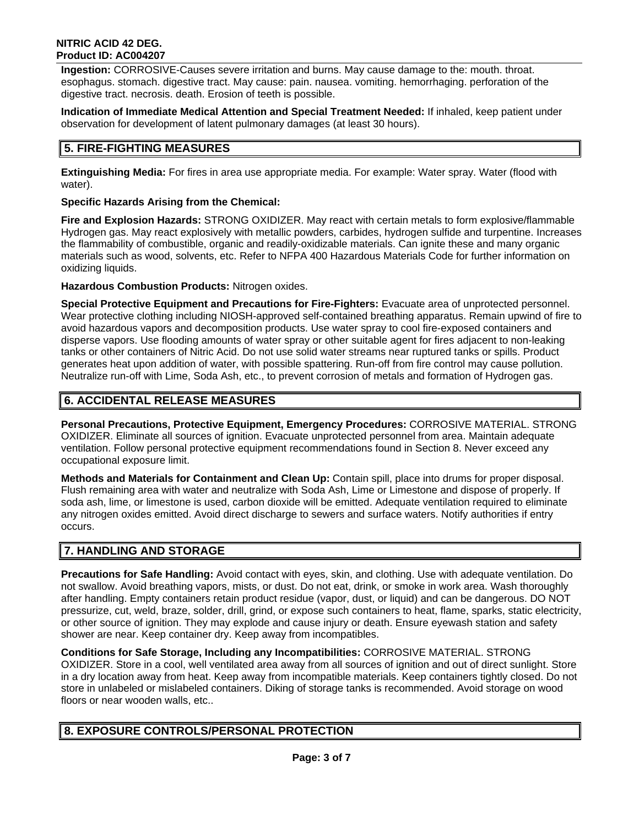#### **NITRIC ACID 42 DEG. Product ID: AC004207**

**Ingestion:** CORROSIVE-Causes severe irritation and burns. May cause damage to the: mouth. throat. esophagus. stomach. digestive tract. May cause: pain. nausea. vomiting. hemorrhaging. perforation of the digestive tract. necrosis. death. Erosion of teeth is possible.

**Indication of Immediate Medical Attention and Special Treatment Needed:** If inhaled, keep patient under observation for development of latent pulmonary damages (at least 30 hours).

## **5. FIRE-FIGHTING MEASURES**

**Extinguishing Media:** For fires in area use appropriate media. For example: Water spray. Water (flood with water).

## **Specific Hazards Arising from the Chemical:**

**Fire and Explosion Hazards:** STRONG OXIDIZER. May react with certain metals to form explosive/flammable Hydrogen gas. May react explosively with metallic powders, carbides, hydrogen sulfide and turpentine. Increases the flammability of combustible, organic and readily-oxidizable materials. Can ignite these and many organic materials such as wood, solvents, etc. Refer to NFPA 400 Hazardous Materials Code for further information on oxidizing liquids.

**Hazardous Combustion Products:** Nitrogen oxides.

**Special Protective Equipment and Precautions for Fire-Fighters:** Evacuate area of unprotected personnel. Wear protective clothing including NIOSH-approved self-contained breathing apparatus. Remain upwind of fire to avoid hazardous vapors and decomposition products. Use water spray to cool fire-exposed containers and disperse vapors. Use flooding amounts of water spray or other suitable agent for fires adjacent to non-leaking tanks or other containers of Nitric Acid. Do not use solid water streams near ruptured tanks or spills. Product generates heat upon addition of water, with possible spattering. Run-off from fire control may cause pollution. Neutralize run-off with Lime, Soda Ash, etc., to prevent corrosion of metals and formation of Hydrogen gas.

## **6. ACCIDENTAL RELEASE MEASURES**

**Personal Precautions, Protective Equipment, Emergency Procedures:** CORROSIVE MATERIAL. STRONG OXIDIZER. Eliminate all sources of ignition. Evacuate unprotected personnel from area. Maintain adequate ventilation. Follow personal protective equipment recommendations found in Section 8. Never exceed any occupational exposure limit.

**Methods and Materials for Containment and Clean Up:** Contain spill, place into drums for proper disposal. Flush remaining area with water and neutralize with Soda Ash, Lime or Limestone and dispose of properly. If soda ash, lime, or limestone is used, carbon dioxide will be emitted. Adequate ventilation required to eliminate any nitrogen oxides emitted. Avoid direct discharge to sewers and surface waters. Notify authorities if entry occurs.

## **7. HANDLING AND STORAGE**

**Precautions for Safe Handling:** Avoid contact with eyes, skin, and clothing. Use with adequate ventilation. Do not swallow. Avoid breathing vapors, mists, or dust. Do not eat, drink, or smoke in work area. Wash thoroughly after handling. Empty containers retain product residue (vapor, dust, or liquid) and can be dangerous. DO NOT pressurize, cut, weld, braze, solder, drill, grind, or expose such containers to heat, flame, sparks, static electricity, or other source of ignition. They may explode and cause injury or death. Ensure eyewash station and safety shower are near. Keep container dry. Keep away from incompatibles.

**Conditions for Safe Storage, Including any Incompatibilities:** CORROSIVE MATERIAL. STRONG OXIDIZER. Store in a cool, well ventilated area away from all sources of ignition and out of direct sunlight. Store in a dry location away from heat. Keep away from incompatible materials. Keep containers tightly closed. Do not store in unlabeled or mislabeled containers. Diking of storage tanks is recommended. Avoid storage on wood floors or near wooden walls, etc..

## **8. EXPOSURE CONTROLS/PERSONAL PROTECTION**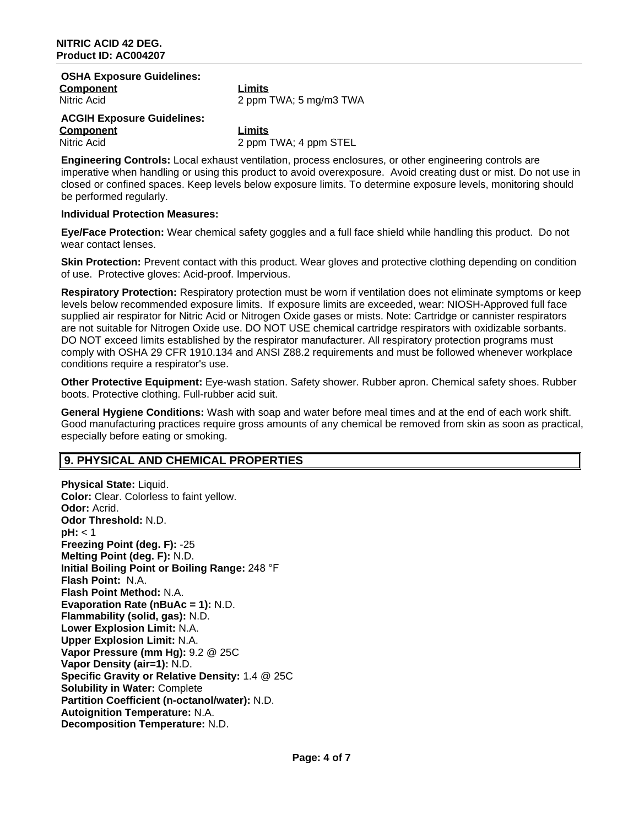| <b>OSHA Exposure Guidelines:</b>  |                        |
|-----------------------------------|------------------------|
| <b>Component</b>                  | Limits                 |
| Nitric Acid                       | 2 ppm TWA; 5 mg/m3 TWA |
| <b>ACGIH Exposure Guidelines:</b> |                        |
| <b>Component</b>                  | Limits                 |
| Nitric Acid                       | 2 ppm TWA; 4 ppm STEL  |
|                                   |                        |

**Engineering Controls:** Local exhaust ventilation, process enclosures, or other engineering controls are imperative when handling or using this product to avoid overexposure. Avoid creating dust or mist. Do not use in closed or confined spaces. Keep levels below exposure limits. To determine exposure levels, monitoring should be performed regularly.

#### **Individual Protection Measures:**

**Eye/Face Protection:** Wear chemical safety goggles and a full face shield while handling this product. Do not wear contact lenses.

**Skin Protection:** Prevent contact with this product. Wear gloves and protective clothing depending on condition of use. Protective gloves: Acid-proof. Impervious.

**Respiratory Protection:** Respiratory protection must be worn if ventilation does not eliminate symptoms or keep levels below recommended exposure limits. If exposure limits are exceeded, wear: NIOSH-Approved full face supplied air respirator for Nitric Acid or Nitrogen Oxide gases or mists. Note: Cartridge or cannister respirators are not suitable for Nitrogen Oxide use. DO NOT USE chemical cartridge respirators with oxidizable sorbants. DO NOT exceed limits established by the respirator manufacturer. All respiratory protection programs must comply with OSHA 29 CFR 1910.134 and ANSI Z88.2 requirements and must be followed whenever workplace conditions require a respirator's use.

**Other Protective Equipment:** Eye-wash station. Safety shower. Rubber apron. Chemical safety shoes. Rubber boots. Protective clothing. Full-rubber acid suit.

**General Hygiene Conditions:** Wash with soap and water before meal times and at the end of each work shift. Good manufacturing practices require gross amounts of any chemical be removed from skin as soon as practical, especially before eating or smoking.

### **9. PHYSICAL AND CHEMICAL PROPERTIES**

**Physical State: Liquid. Color:** Clear. Colorless to faint yellow. **Odor:** Acrid. **Odor Threshold:** N.D. **pH:** < 1 **Freezing Point (deg. F):** -25 **Melting Point (deg. F):** N.D. **Initial Boiling Point or Boiling Range:** 248 °F **Flash Point:** N.A. **Flash Point Method:** N.A. **Evaporation Rate (nBuAc = 1):** N.D. **Flammability (solid, gas):** N.D. **Lower Explosion Limit:** N.A. **Upper Explosion Limit:** N.A. **Vapor Pressure (mm Hg):** 9.2 @ 25C **Vapor Density (air=1):** N.D. **Specific Gravity or Relative Density:** 1.4 @ 25C **Solubility in Water:** Complete **Partition Coefficient (n-octanol/water):** N.D. **Autoignition Temperature:** N.A. **Decomposition Temperature:** N.D.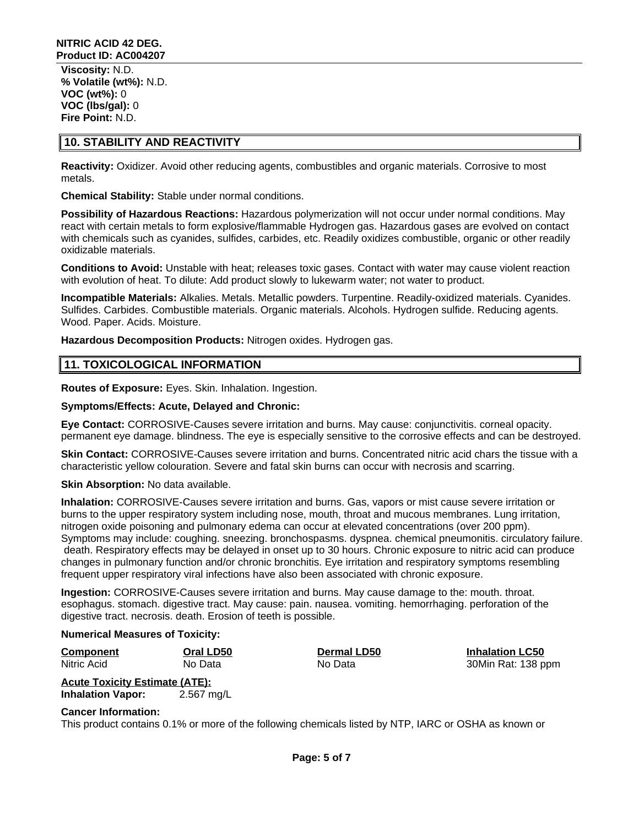**Viscosity:** N.D. **% Volatile (wt%):** N.D. **VOC (wt%):** 0 **VOC (lbs/gal):** 0 **Fire Point:** N.D.

### **10. STABILITY AND REACTIVITY**

**Reactivity:** Oxidizer. Avoid other reducing agents, combustibles and organic materials. Corrosive to most metals.

**Chemical Stability:** Stable under normal conditions.

**Possibility of Hazardous Reactions:** Hazardous polymerization will not occur under normal conditions. May react with certain metals to form explosive/flammable Hydrogen gas. Hazardous gases are evolved on contact with chemicals such as cyanides, sulfides, carbides, etc. Readily oxidizes combustible, organic or other readily oxidizable materials.

**Conditions to Avoid:** Unstable with heat; releases toxic gases. Contact with water may cause violent reaction with evolution of heat. To dilute: Add product slowly to lukewarm water; not water to product.

**Incompatible Materials:** Alkalies. Metals. Metallic powders. Turpentine. Readily-oxidized materials. Cyanides. Sulfides. Carbides. Combustible materials. Organic materials. Alcohols. Hydrogen sulfide. Reducing agents. Wood. Paper. Acids. Moisture.

**Hazardous Decomposition Products:** Nitrogen oxides. Hydrogen gas.

## **11. TOXICOLOGICAL INFORMATION**

**Routes of Exposure:** Eyes. Skin. Inhalation. Ingestion.

#### **Symptoms/Effects: Acute, Delayed and Chronic:**

**Eye Contact:** CORROSIVE-Causes severe irritation and burns. May cause: conjunctivitis. corneal opacity. permanent eye damage. blindness. The eye is especially sensitive to the corrosive effects and can be destroyed.

**Skin Contact:** CORROSIVE-Causes severe irritation and burns. Concentrated nitric acid chars the tissue with a characteristic yellow colouration. Severe and fatal skin burns can occur with necrosis and scarring.

**Skin Absorption: No data available.** 

**Inhalation:** CORROSIVE-Causes severe irritation and burns. Gas, vapors or mist cause severe irritation or burns to the upper respiratory system including nose, mouth, throat and mucous membranes. Lung irritation, nitrogen oxide poisoning and pulmonary edema can occur at elevated concentrations (over 200 ppm). Symptoms may include: coughing. sneezing. bronchospasms. dyspnea. chemical pneumonitis. circulatory failure. death. Respiratory effects may be delayed in onset up to 30 hours. Chronic exposure to nitric acid can produce changes in pulmonary function and/or chronic bronchitis. Eye irritation and respiratory symptoms resembling frequent upper respiratory viral infections have also been associated with chronic exposure.

**Ingestion:** CORROSIVE-Causes severe irritation and burns. May cause damage to the: mouth. throat. esophagus. stomach. digestive tract. May cause: pain. nausea. vomiting. hemorrhaging. perforation of the digestive tract. necrosis. death. Erosion of teeth is possible.

**Numerical Measures of Toxicity:**

**Component Oral LD50 Dermal LD50 Inhalation LC50** Nitric Acid No Data No Data 30Min Rat: 138 ppm

**Acute Toxicity Estimate (ATE): Inhalation Vapor:** 2.567 mg/L

**Cancer Information:**

This product contains 0.1% or more of the following chemicals listed by NTP, IARC or OSHA as known or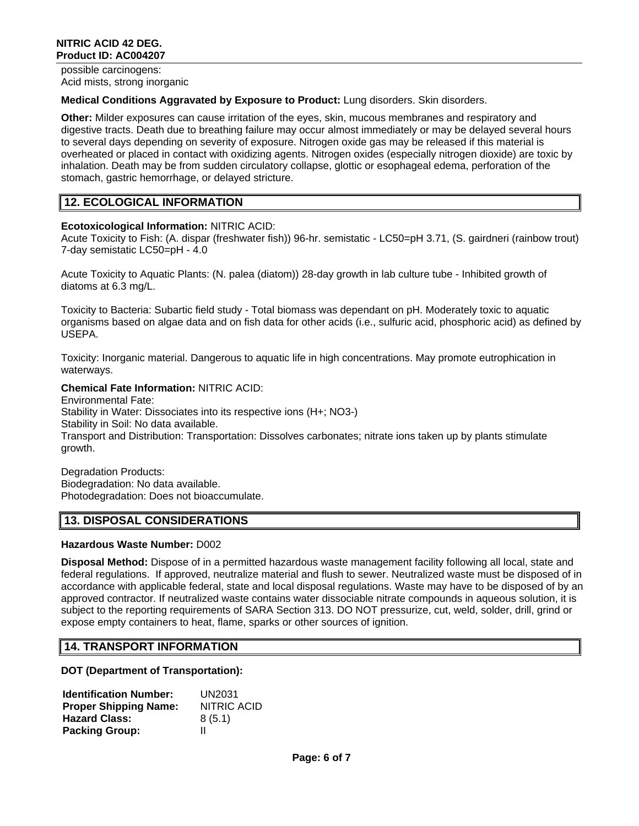possible carcinogens: Acid mists, strong inorganic

#### **Medical Conditions Aggravated by Exposure to Product:** Lung disorders. Skin disorders.

**Other:** Milder exposures can cause irritation of the eyes, skin, mucous membranes and respiratory and digestive tracts. Death due to breathing failure may occur almost immediately or may be delayed several hours to several days depending on severity of exposure. Nitrogen oxide gas may be released if this material is overheated or placed in contact with oxidizing agents. Nitrogen oxides (especially nitrogen dioxide) are toxic by inhalation. Death may be from sudden circulatory collapse, glottic or esophageal edema, perforation of the stomach, gastric hemorrhage, or delayed stricture.

## **12. ECOLOGICAL INFORMATION**

### **Ecotoxicological Information:** NITRIC ACID:

Acute Toxicity to Fish: (A. dispar (freshwater fish)) 96-hr. semistatic - LC50=pH 3.71, (S. gairdneri (rainbow trout) 7-day semistatic LC50=pH - 4.0

Acute Toxicity to Aquatic Plants: (N. palea (diatom)) 28-day growth in lab culture tube - Inhibited growth of diatoms at 6.3 mg/L.

Toxicity to Bacteria: Subartic field study - Total biomass was dependant on pH. Moderately toxic to aquatic organisms based on algae data and on fish data for other acids (i.e., sulfuric acid, phosphoric acid) as defined by USEPA.

Toxicity: Inorganic material. Dangerous to aquatic life in high concentrations. May promote eutrophication in waterways.

#### **Chemical Fate Information:** NITRIC ACID:

Environmental Fate: Stability in Water: Dissociates into its respective ions (H+; NO3-) Stability in Soil: No data available. Transport and Distribution: Transportation: Dissolves carbonates; nitrate ions taken up by plants stimulate growth.

Degradation Products: Biodegradation: No data available. Photodegradation: Does not bioaccumulate.

## **13. DISPOSAL CONSIDERATIONS**

### **Hazardous Waste Number:** D002

**Disposal Method:** Dispose of in a permitted hazardous waste management facility following all local, state and federal regulations. If approved, neutralize material and flush to sewer. Neutralized waste must be disposed of in accordance with applicable federal, state and local disposal regulations. Waste may have to be disposed of by an approved contractor. If neutralized waste contains water dissociable nitrate compounds in aqueous solution, it is subject to the reporting requirements of SARA Section 313. DO NOT pressurize, cut, weld, solder, drill, grind or expose empty containers to heat, flame, sparks or other sources of ignition.

### **14. TRANSPORT INFORMATION**

#### **DOT (Department of Transportation):**

| <b>Identification Number:</b> | UN2031      |
|-------------------------------|-------------|
| <b>Proper Shipping Name:</b>  | NITRIC ACID |
| <b>Hazard Class:</b>          | 8(5.1)      |
| <b>Packing Group:</b>         | Ш           |